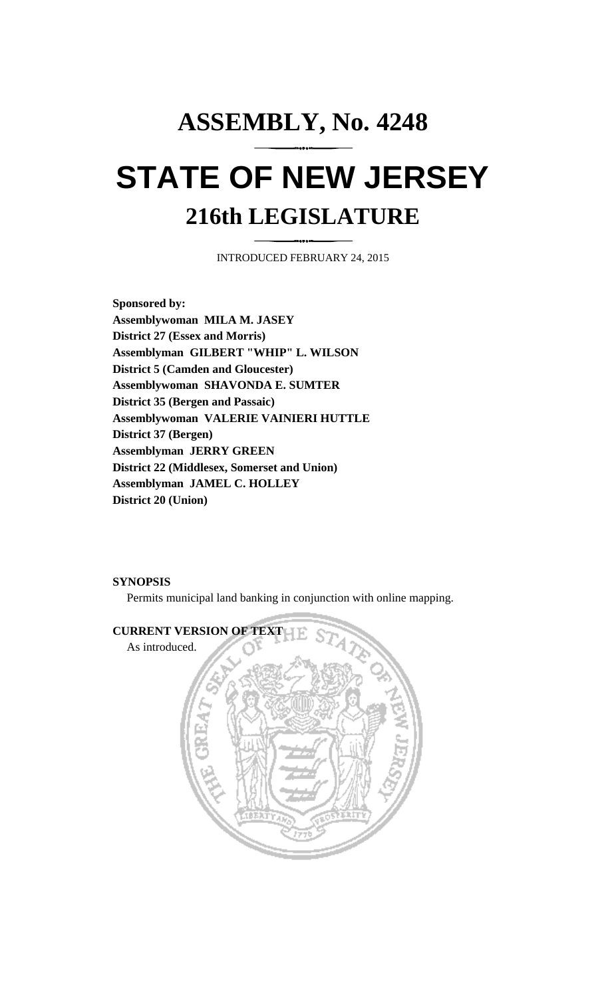# **ASSEMBLY, No. 4248 STATE OF NEW JERSEY 216th LEGISLATURE**

INTRODUCED FEBRUARY 24, 2015

**Sponsored by: Assemblywoman MILA M. JASEY District 27 (Essex and Morris) Assemblyman GILBERT "WHIP" L. WILSON District 5 (Camden and Gloucester) Assemblywoman SHAVONDA E. SUMTER District 35 (Bergen and Passaic) Assemblywoman VALERIE VAINIERI HUTTLE District 37 (Bergen) Assemblyman JERRY GREEN District 22 (Middlesex, Somerset and Union) Assemblyman JAMEL C. HOLLEY District 20 (Union)**

### **SYNOPSIS**

Permits municipal land banking in conjunction with online mapping.

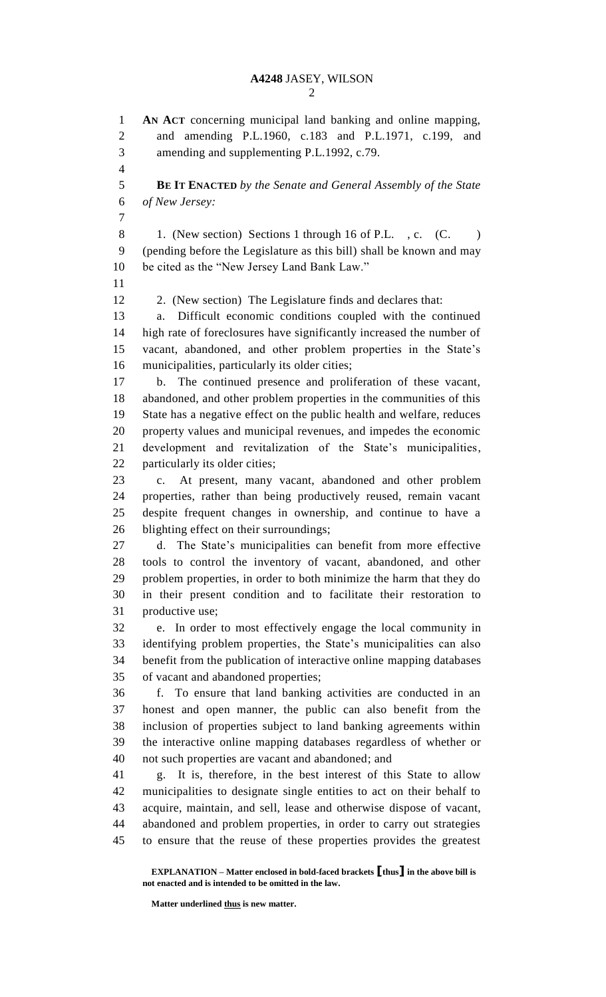**AN ACT** concerning municipal land banking and online mapping, and amending P.L.1960, c.183 and P.L.1971, c.199, and amending and supplementing P.L.1992, c.79. **BE IT ENACTED** *by the Senate and General Assembly of the State of New Jersey:* 8 1. (New section) Sections 1 through 16 of P.L., c. (C. ) (pending before the Legislature as this bill) shall be known and may be cited as the "New Jersey Land Bank Law." 2. (New section) The Legislature finds and declares that: a. Difficult economic conditions coupled with the continued high rate of foreclosures have significantly increased the number of vacant, abandoned, and other problem properties in the State's municipalities, particularly its older cities; b. The continued presence and proliferation of these vacant, abandoned, and other problem properties in the communities of this State has a negative effect on the public health and welfare, reduces property values and municipal revenues, and impedes the economic development and revitalization of the State's municipalities, 22 particularly its older cities; c. At present, many vacant, abandoned and other problem properties, rather than being productively reused, remain vacant despite frequent changes in ownership, and continue to have a blighting effect on their surroundings; d. The State's municipalities can benefit from more effective tools to control the inventory of vacant, abandoned, and other problem properties, in order to both minimize the harm that they do in their present condition and to facilitate their restoration to productive use; e. In order to most effectively engage the local community in identifying problem properties, the State's municipalities can also benefit from the publication of interactive online mapping databases of vacant and abandoned properties; f. To ensure that land banking activities are conducted in an honest and open manner, the public can also benefit from the inclusion of properties subject to land banking agreements within the interactive online mapping databases regardless of whether or not such properties are vacant and abandoned; and g. It is, therefore, in the best interest of this State to allow municipalities to designate single entities to act on their behalf to acquire, maintain, and sell, lease and otherwise dispose of vacant, abandoned and problem properties, in order to carry out strategies to ensure that the reuse of these properties provides the greatest

**EXPLANATION – Matter enclosed in bold-faced brackets [thus] in the above bill is not enacted and is intended to be omitted in the law.**

**Matter underlined thus is new matter.**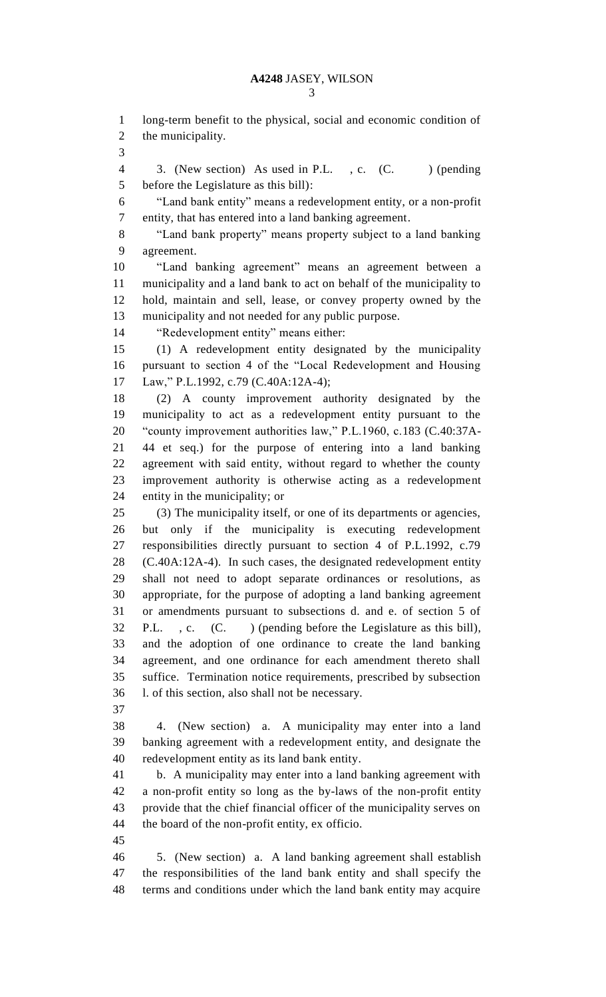long-term benefit to the physical, social and economic condition of the municipality.

4 3. (New section) As used in P.L., c. (C. ) (pending before the Legislature as this bill):

 "Land bank entity" means a redevelopment entity, or a non-profit entity, that has entered into a land banking agreement.

 "Land bank property" means property subject to a land banking agreement.

 "Land banking agreement" means an agreement between a municipality and a land bank to act on behalf of the municipality to hold, maintain and sell, lease, or convey property owned by the municipality and not needed for any public purpose.

"Redevelopment entity" means either:

 (1) A redevelopment entity designated by the municipality pursuant to section 4 of the "Local Redevelopment and Housing Law," P.L.1992, c.79 (C.40A:12A-4);

 (2) A county improvement authority designated by the municipality to act as a redevelopment entity pursuant to the "county improvement authorities law," P.L.1960, c.183 (C.40:37A- 44 et seq.) for the purpose of entering into a land banking agreement with said entity, without regard to whether the county improvement authority is otherwise acting as a redevelopment entity in the municipality; or

 (3) The municipality itself, or one of its departments or agencies, but only if the municipality is executing redevelopment responsibilities directly pursuant to section 4 of P.L.1992, c.79 (C.40A:12A-4). In such cases, the designated redevelopment entity shall not need to adopt separate ordinances or resolutions, as appropriate, for the purpose of adopting a land banking agreement or amendments pursuant to subsections d. and e. of section 5 of P.L. , c. (C. ) (pending before the Legislature as this bill), and the adoption of one ordinance to create the land banking agreement, and one ordinance for each amendment thereto shall suffice. Termination notice requirements, prescribed by subsection l. of this section, also shall not be necessary.

 4. (New section) a. A municipality may enter into a land banking agreement with a redevelopment entity, and designate the redevelopment entity as its land bank entity.

 b. A municipality may enter into a land banking agreement with a non-profit entity so long as the by-laws of the non-profit entity provide that the chief financial officer of the municipality serves on the board of the non-profit entity, ex officio.

 5. (New section) a. A land banking agreement shall establish the responsibilities of the land bank entity and shall specify the terms and conditions under which the land bank entity may acquire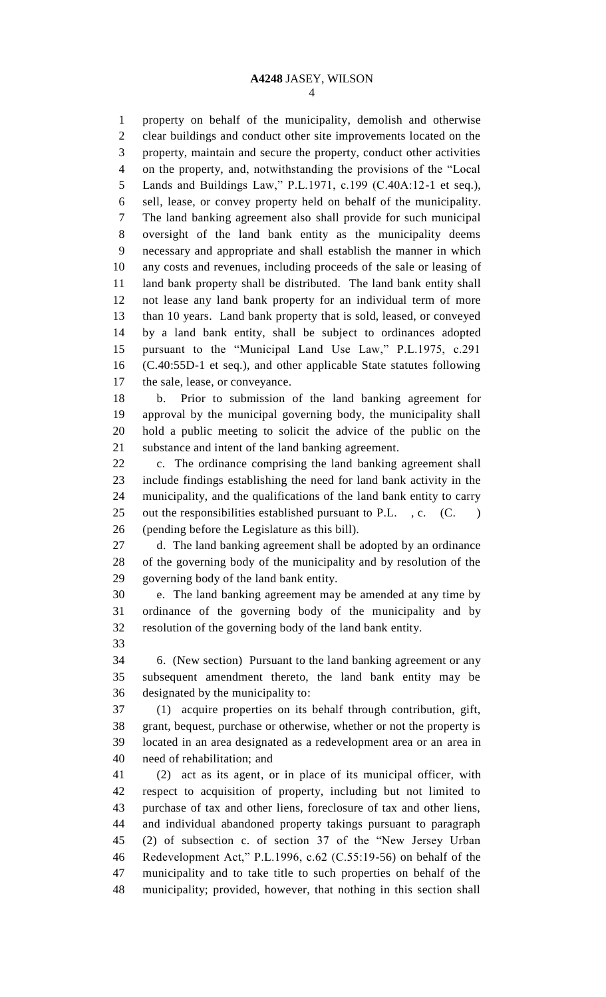property on behalf of the municipality, demolish and otherwise clear buildings and conduct other site improvements located on the property, maintain and secure the property, conduct other activities on the property, and, notwithstanding the provisions of the "Local Lands and Buildings Law," P.L.1971, c.199 (C.40A:12-1 et seq.), sell, lease, or convey property held on behalf of the municipality. The land banking agreement also shall provide for such municipal oversight of the land bank entity as the municipality deems necessary and appropriate and shall establish the manner in which any costs and revenues, including proceeds of the sale or leasing of land bank property shall be distributed. The land bank entity shall not lease any land bank property for an individual term of more than 10 years. Land bank property that is sold, leased, or conveyed by a land bank entity, shall be subject to ordinances adopted pursuant to the "Municipal Land Use Law," P.L.1975, c.291 (C.40:55D-1 et seq.), and other applicable State statutes following the sale, lease, or conveyance.

 b. Prior to submission of the land banking agreement for approval by the municipal governing body, the municipality shall hold a public meeting to solicit the advice of the public on the substance and intent of the land banking agreement.

 c. The ordinance comprising the land banking agreement shall include findings establishing the need for land bank activity in the municipality, and the qualifications of the land bank entity to carry 25 out the responsibilities established pursuant to P.L., c. (C.) (pending before the Legislature as this bill).

 d. The land banking agreement shall be adopted by an ordinance of the governing body of the municipality and by resolution of the governing body of the land bank entity.

 e. The land banking agreement may be amended at any time by ordinance of the governing body of the municipality and by resolution of the governing body of the land bank entity.

 6. (New section) Pursuant to the land banking agreement or any subsequent amendment thereto, the land bank entity may be designated by the municipality to:

 (1) acquire properties on its behalf through contribution, gift, grant, bequest, purchase or otherwise, whether or not the property is located in an area designated as a redevelopment area or an area in need of rehabilitation; and

 (2) act as its agent, or in place of its municipal officer, with respect to acquisition of property, including but not limited to purchase of tax and other liens, foreclosure of tax and other liens, and individual abandoned property takings pursuant to paragraph (2) of subsection c. of section 37 of the "New Jersey Urban Redevelopment Act," P.L.1996, c.62 (C.55:19-56) on behalf of the municipality and to take title to such properties on behalf of the municipality; provided, however, that nothing in this section shall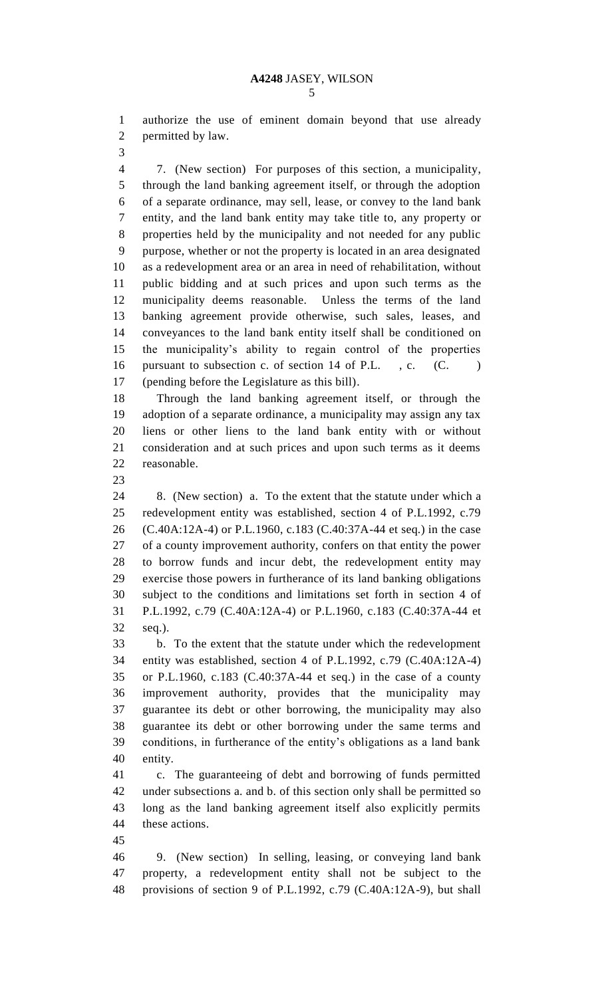authorize the use of eminent domain beyond that use already permitted by law.

 7. (New section) For purposes of this section, a municipality, through the land banking agreement itself, or through the adoption of a separate ordinance, may sell, lease, or convey to the land bank entity, and the land bank entity may take title to, any property or properties held by the municipality and not needed for any public purpose, whether or not the property is located in an area designated as a redevelopment area or an area in need of rehabilitation, without public bidding and at such prices and upon such terms as the municipality deems reasonable. Unless the terms of the land banking agreement provide otherwise, such sales, leases, and conveyances to the land bank entity itself shall be conditioned on the municipality's ability to regain control of the properties 16 pursuant to subsection c. of section 14 of P.L., c. (C.) (pending before the Legislature as this bill).

 Through the land banking agreement itself, or through the adoption of a separate ordinance, a municipality may assign any tax liens or other liens to the land bank entity with or without consideration and at such prices and upon such terms as it deems reasonable.

 8. (New section) a. To the extent that the statute under which a redevelopment entity was established, section 4 of P.L.1992, c.79 (C.40A:12A-4) or P.L.1960, c.183 (C.40:37A-44 et seq.) in the case of a county improvement authority, confers on that entity the power to borrow funds and incur debt, the redevelopment entity may exercise those powers in furtherance of its land banking obligations subject to the conditions and limitations set forth in section 4 of P.L.1992, c.79 (C.40A:12A-4) or P.L.1960, c.183 (C.40:37A-44 et seq.).

 b. To the extent that the statute under which the redevelopment entity was established, section 4 of P.L.1992, c.79 (C.40A:12A-4) or P.L.1960, c.183 (C.40:37A-44 et seq.) in the case of a county improvement authority, provides that the municipality may guarantee its debt or other borrowing, the municipality may also guarantee its debt or other borrowing under the same terms and conditions, in furtherance of the entity's obligations as a land bank entity.

 c. The guaranteeing of debt and borrowing of funds permitted under subsections a. and b. of this section only shall be permitted so long as the land banking agreement itself also explicitly permits these actions.

 9. (New section) In selling, leasing, or conveying land bank property, a redevelopment entity shall not be subject to the provisions of section 9 of P.L.1992, c.79 (C.40A:12A-9), but shall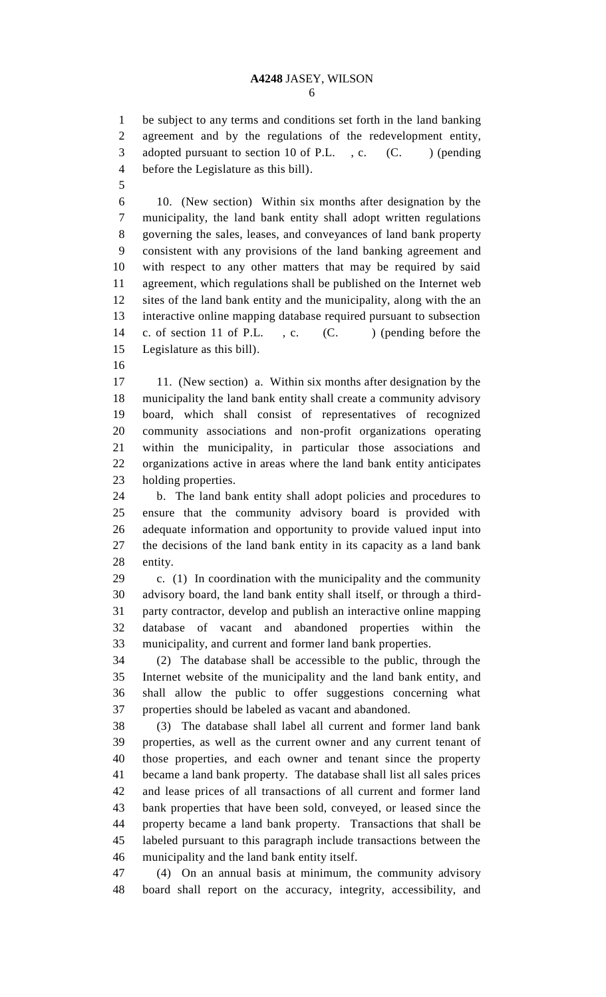be subject to any terms and conditions set forth in the land banking agreement and by the regulations of the redevelopment entity, 3 adopted pursuant to section 10 of P.L., c. (C.) (pending before the Legislature as this bill).

 10. (New section) Within six months after designation by the municipality, the land bank entity shall adopt written regulations governing the sales, leases, and conveyances of land bank property consistent with any provisions of the land banking agreement and with respect to any other matters that may be required by said agreement, which regulations shall be published on the Internet web sites of the land bank entity and the municipality, along with the an interactive online mapping database required pursuant to subsection 14 c. of section 11 of P.L., c. (C. ) (pending before the Legislature as this bill).

 11. (New section) a. Within six months after designation by the municipality the land bank entity shall create a community advisory board, which shall consist of representatives of recognized community associations and non-profit organizations operating within the municipality, in particular those associations and organizations active in areas where the land bank entity anticipates holding properties.

 b. The land bank entity shall adopt policies and procedures to ensure that the community advisory board is provided with adequate information and opportunity to provide valued input into the decisions of the land bank entity in its capacity as a land bank entity.

 c. (1) In coordination with the municipality and the community advisory board, the land bank entity shall itself, or through a third- party contractor, develop and publish an interactive online mapping database of vacant and abandoned properties within the municipality, and current and former land bank properties.

 (2) The database shall be accessible to the public, through the Internet website of the municipality and the land bank entity, and shall allow the public to offer suggestions concerning what properties should be labeled as vacant and abandoned.

 (3) The database shall label all current and former land bank properties, as well as the current owner and any current tenant of those properties, and each owner and tenant since the property became a land bank property. The database shall list all sales prices and lease prices of all transactions of all current and former land bank properties that have been sold, conveyed, or leased since the property became a land bank property. Transactions that shall be labeled pursuant to this paragraph include transactions between the municipality and the land bank entity itself.

 (4) On an annual basis at minimum, the community advisory board shall report on the accuracy, integrity, accessibility, and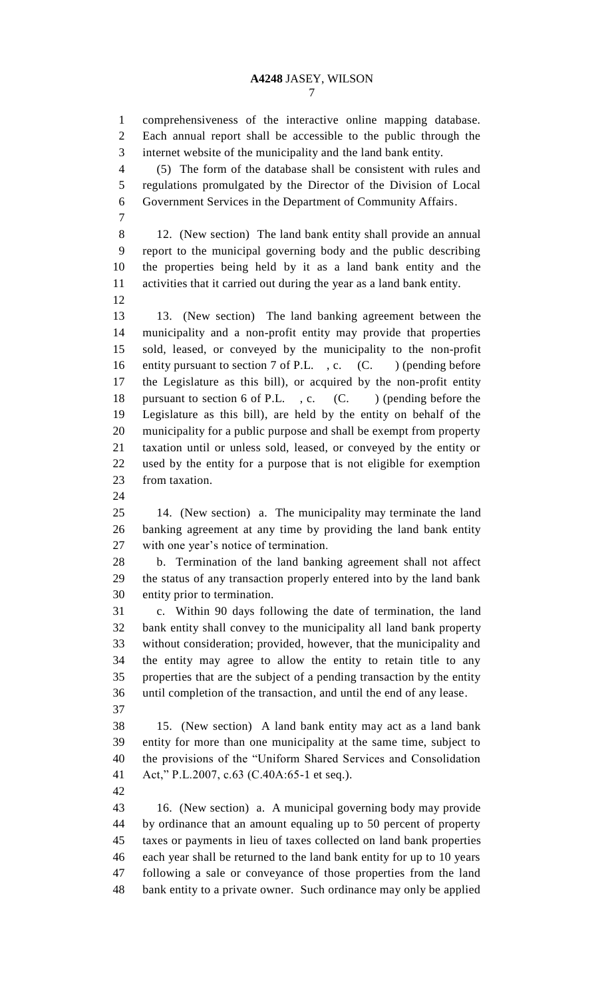comprehensiveness of the interactive online mapping database. Each annual report shall be accessible to the public through the internet website of the municipality and the land bank entity.

 (5) The form of the database shall be consistent with rules and regulations promulgated by the Director of the Division of Local Government Services in the Department of Community Affairs.

 12. (New section) The land bank entity shall provide an annual report to the municipal governing body and the public describing the properties being held by it as a land bank entity and the activities that it carried out during the year as a land bank entity.

 13. (New section) The land banking agreement between the municipality and a non-profit entity may provide that properties sold, leased, or conveyed by the municipality to the non-profit 16 entity pursuant to section 7 of P.L., c. (C.) (pending before the Legislature as this bill), or acquired by the non-profit entity 18 pursuant to section 6 of P.L., c. (C. ) (pending before the Legislature as this bill), are held by the entity on behalf of the municipality for a public purpose and shall be exempt from property taxation until or unless sold, leased, or conveyed by the entity or used by the entity for a purpose that is not eligible for exemption from taxation.

 14. (New section) a. The municipality may terminate the land banking agreement at any time by providing the land bank entity with one year's notice of termination.

 b. Termination of the land banking agreement shall not affect the status of any transaction properly entered into by the land bank entity prior to termination.

 c. Within 90 days following the date of termination, the land bank entity shall convey to the municipality all land bank property without consideration; provided, however, that the municipality and the entity may agree to allow the entity to retain title to any properties that are the subject of a pending transaction by the entity until completion of the transaction, and until the end of any lease.

 15. (New section) A land bank entity may act as a land bank entity for more than one municipality at the same time, subject to the provisions of the "Uniform Shared Services and Consolidation Act," P.L.2007, c.63 (C.40A:65-1 et seq.).

 16. (New section) a. A municipal governing body may provide by ordinance that an amount equaling up to 50 percent of property taxes or payments in lieu of taxes collected on land bank properties each year shall be returned to the land bank entity for up to 10 years following a sale or conveyance of those properties from the land bank entity to a private owner. Such ordinance may only be applied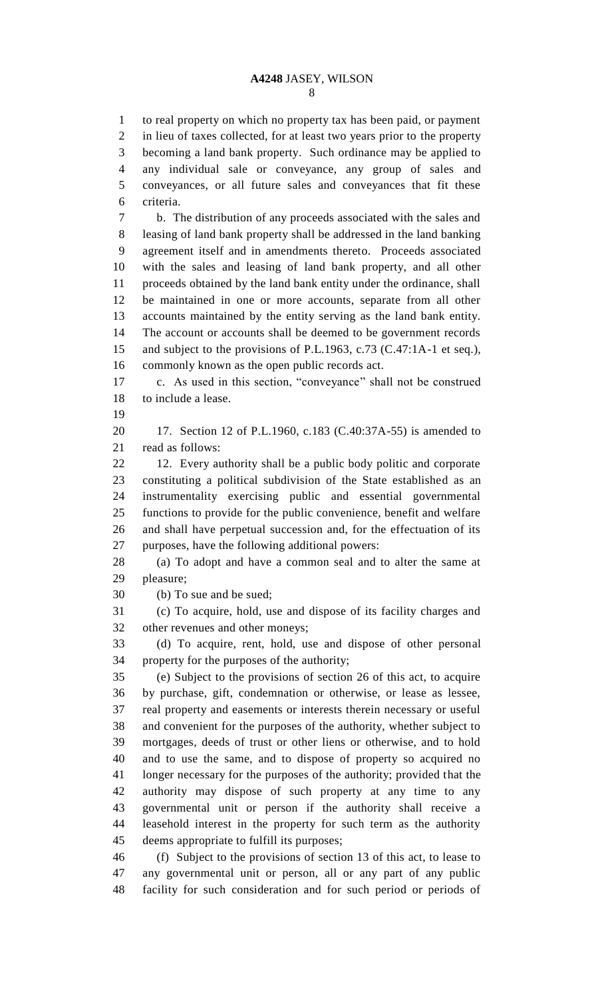to real property on which no property tax has been paid, or payment in lieu of taxes collected, for at least two years prior to the property becoming a land bank property. Such ordinance may be applied to any individual sale or conveyance, any group of sales and conveyances, or all future sales and conveyances that fit these criteria. b. The distribution of any proceeds associated with the sales and

 leasing of land bank property shall be addressed in the land banking agreement itself and in amendments thereto. Proceeds associated with the sales and leasing of land bank property, and all other proceeds obtained by the land bank entity under the ordinance, shall be maintained in one or more accounts, separate from all other accounts maintained by the entity serving as the land bank entity. The account or accounts shall be deemed to be government records and subject to the provisions of P.L.1963, c.73 (C.47:1A-1 et seq.), commonly known as the open public records act.

 c. As used in this section, "conveyance" shall not be construed to include a lease.

 17. Section 12 of P.L.1960, c.183 (C.40:37A-55) is amended to read as follows:

22 12. Every authority shall be a public body politic and corporate constituting a political subdivision of the State established as an instrumentality exercising public and essential governmental functions to provide for the public convenience, benefit and welfare and shall have perpetual succession and, for the effectuation of its purposes, have the following additional powers:

 (a) To adopt and have a common seal and to alter the same at pleasure;

(b) To sue and be sued;

 (c) To acquire, hold, use and dispose of its facility charges and other revenues and other moneys;

 (d) To acquire, rent, hold, use and dispose of other personal property for the purposes of the authority;

 (e) Subject to the provisions of section 26 of this act, to acquire by purchase, gift, condemnation or otherwise, or lease as lessee, real property and easements or interests therein necessary or useful and convenient for the purposes of the authority, whether subject to mortgages, deeds of trust or other liens or otherwise, and to hold and to use the same, and to dispose of property so acquired no longer necessary for the purposes of the authority; provided that the authority may dispose of such property at any time to any governmental unit or person if the authority shall receive a leasehold interest in the property for such term as the authority deems appropriate to fulfill its purposes;

 (f) Subject to the provisions of section 13 of this act, to lease to any governmental unit or person, all or any part of any public facility for such consideration and for such period or periods of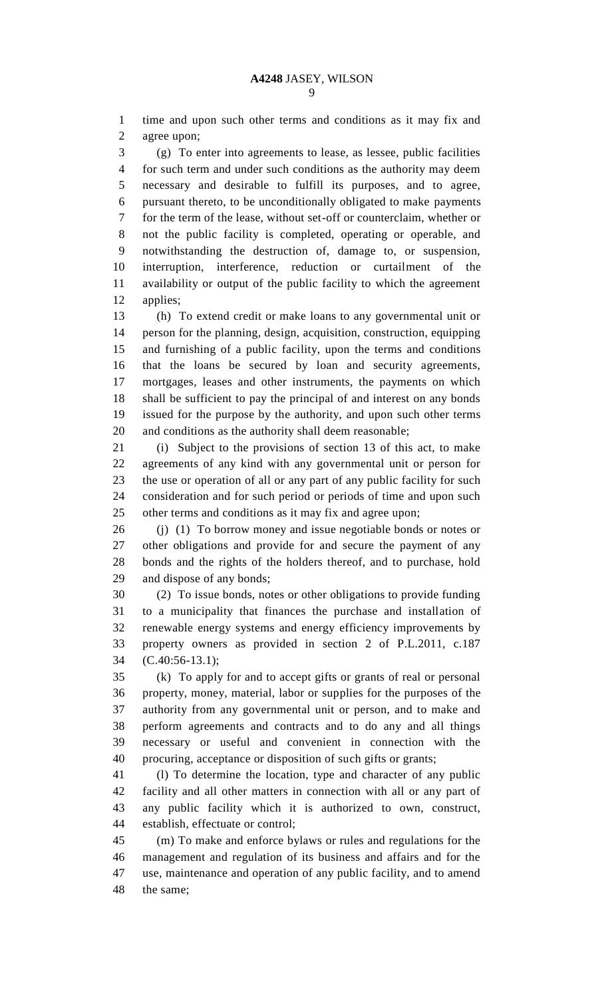time and upon such other terms and conditions as it may fix and agree upon;

 (g) To enter into agreements to lease, as lessee, public facilities for such term and under such conditions as the authority may deem necessary and desirable to fulfill its purposes, and to agree, pursuant thereto, to be unconditionally obligated to make payments for the term of the lease, without set-off or counterclaim, whether or not the public facility is completed, operating or operable, and notwithstanding the destruction of, damage to, or suspension, interruption, interference, reduction or curtailment of the availability or output of the public facility to which the agreement applies;

 (h) To extend credit or make loans to any governmental unit or person for the planning, design, acquisition, construction, equipping and furnishing of a public facility, upon the terms and conditions that the loans be secured by loan and security agreements, mortgages, leases and other instruments, the payments on which shall be sufficient to pay the principal of and interest on any bonds issued for the purpose by the authority, and upon such other terms and conditions as the authority shall deem reasonable;

 (i) Subject to the provisions of section 13 of this act, to make agreements of any kind with any governmental unit or person for the use or operation of all or any part of any public facility for such consideration and for such period or periods of time and upon such other terms and conditions as it may fix and agree upon;

 (j) (1) To borrow money and issue negotiable bonds or notes or other obligations and provide for and secure the payment of any bonds and the rights of the holders thereof, and to purchase, hold and dispose of any bonds;

 (2) To issue bonds, notes or other obligations to provide funding to a municipality that finances the purchase and installation of renewable energy systems and energy efficiency improvements by property owners as provided in section 2 of P.L.2011, c.187 (C.40:56-13.1);

 (k) To apply for and to accept gifts or grants of real or personal property, money, material, labor or supplies for the purposes of the authority from any governmental unit or person, and to make and perform agreements and contracts and to do any and all things necessary or useful and convenient in connection with the procuring, acceptance or disposition of such gifts or grants;

 (l) To determine the location, type and character of any public facility and all other matters in connection with all or any part of any public facility which it is authorized to own, construct, establish, effectuate or control;

 (m) To make and enforce bylaws or rules and regulations for the management and regulation of its business and affairs and for the use, maintenance and operation of any public facility, and to amend the same;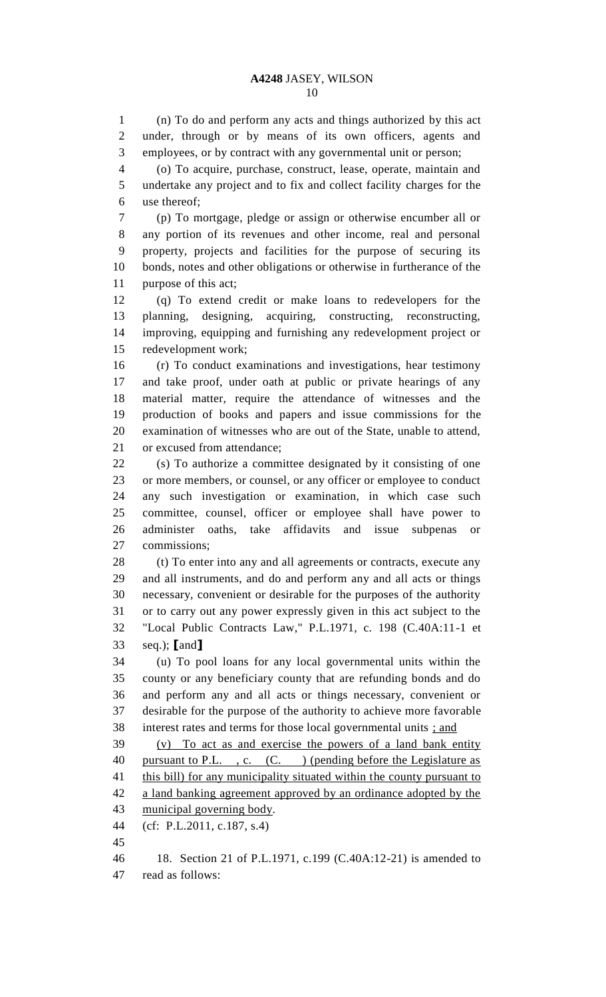(n) To do and perform any acts and things authorized by this act under, through or by means of its own officers, agents and employees, or by contract with any governmental unit or person;

 (o) To acquire, purchase, construct, lease, operate, maintain and undertake any project and to fix and collect facility charges for the use thereof;

 (p) To mortgage, pledge or assign or otherwise encumber all or any portion of its revenues and other income, real and personal property, projects and facilities for the purpose of securing its bonds, notes and other obligations or otherwise in furtherance of the purpose of this act;

 (q) To extend credit or make loans to redevelopers for the planning, designing, acquiring, constructing, reconstructing, improving, equipping and furnishing any redevelopment project or redevelopment work;

 (r) To conduct examinations and investigations, hear testimony and take proof, under oath at public or private hearings of any material matter, require the attendance of witnesses and the production of books and papers and issue commissions for the examination of witnesses who are out of the State, unable to attend, or excused from attendance;

 (s) To authorize a committee designated by it consisting of one or more members, or counsel, or any officer or employee to conduct any such investigation or examination, in which case such committee, counsel, officer or employee shall have power to administer oaths, take affidavits and issue subpenas or commissions;

28 (t) To enter into any and all agreements or contracts, execute any and all instruments, and do and perform any and all acts or things necessary, convenient or desirable for the purposes of the authority or to carry out any power expressly given in this act subject to the "Local Public Contracts Law," P.L.1971, c. 198 (C.40A:11-1 et seq.); **[**and**]**

 (u) To pool loans for any local governmental units within the county or any beneficiary county that are refunding bonds and do and perform any and all acts or things necessary, convenient or desirable for the purpose of the authority to achieve more favorable interest rates and terms for those local governmental units ; and

 (v) To act as and exercise the powers of a land bank entity 40 pursuant to P.L., c. (C.) (pending before the Legislature as 41 this bill) for any municipality situated within the county pursuant to a land banking agreement approved by an ordinance adopted by the municipal governing body.

- (cf: P.L.2011, c.187, s.4)
- 

 18. Section 21 of P.L.1971, c.199 (C.40A:12-21) is amended to read as follows: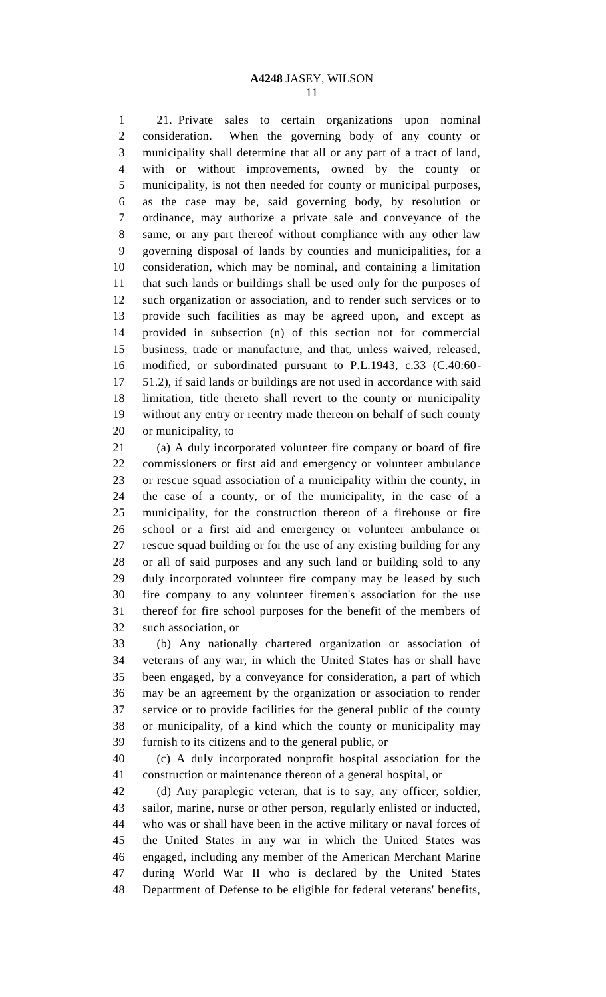21. Private sales to certain organizations upon nominal consideration. When the governing body of any county or municipality shall determine that all or any part of a tract of land, with or without improvements, owned by the county or municipality, is not then needed for county or municipal purposes, as the case may be, said governing body, by resolution or ordinance, may authorize a private sale and conveyance of the same, or any part thereof without compliance with any other law governing disposal of lands by counties and municipalities, for a consideration, which may be nominal, and containing a limitation that such lands or buildings shall be used only for the purposes of such organization or association, and to render such services or to provide such facilities as may be agreed upon, and except as provided in subsection (n) of this section not for commercial business, trade or manufacture, and that, unless waived, released, modified, or subordinated pursuant to P.L.1943, c.33 (C.40:60- 51.2), if said lands or buildings are not used in accordance with said limitation, title thereto shall revert to the county or municipality without any entry or reentry made thereon on behalf of such county or municipality, to

 (a) A duly incorporated volunteer fire company or board of fire commissioners or first aid and emergency or volunteer ambulance or rescue squad association of a municipality within the county, in the case of a county, or of the municipality, in the case of a municipality, for the construction thereon of a firehouse or fire school or a first aid and emergency or volunteer ambulance or rescue squad building or for the use of any existing building for any or all of said purposes and any such land or building sold to any duly incorporated volunteer fire company may be leased by such fire company to any volunteer firemen's association for the use thereof for fire school purposes for the benefit of the members of such association, or

 (b) Any nationally chartered organization or association of veterans of any war, in which the United States has or shall have been engaged, by a conveyance for consideration, a part of which may be an agreement by the organization or association to render service or to provide facilities for the general public of the county or municipality, of a kind which the county or municipality may furnish to its citizens and to the general public, or

 (c) A duly incorporated nonprofit hospital association for the construction or maintenance thereon of a general hospital, or

 (d) Any paraplegic veteran, that is to say, any officer, soldier, sailor, marine, nurse or other person, regularly enlisted or inducted, who was or shall have been in the active military or naval forces of the United States in any war in which the United States was engaged, including any member of the American Merchant Marine during World War II who is declared by the United States Department of Defense to be eligible for federal veterans' benefits,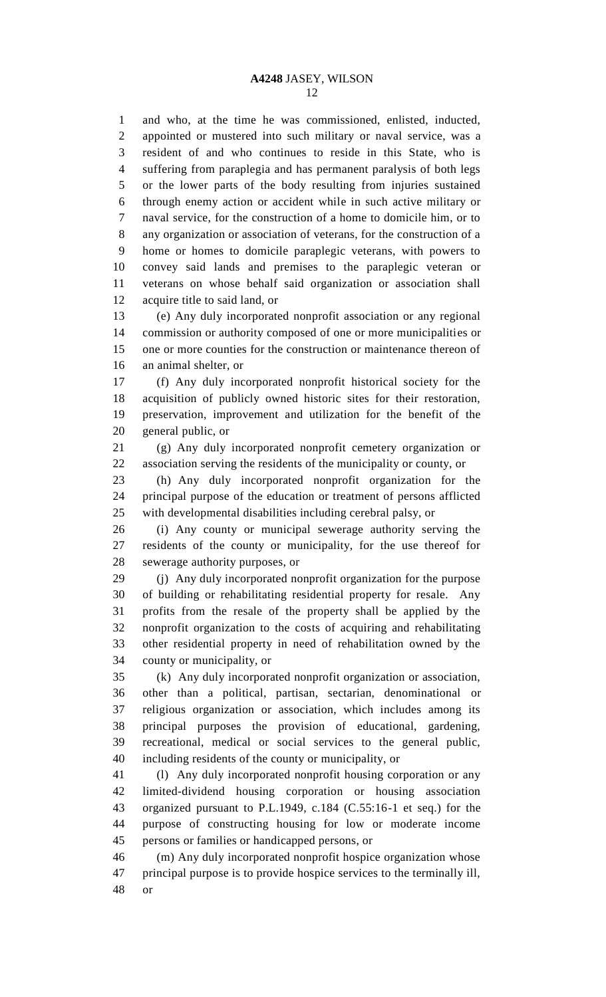and who, at the time he was commissioned, enlisted, inducted, appointed or mustered into such military or naval service, was a resident of and who continues to reside in this State, who is suffering from paraplegia and has permanent paralysis of both legs or the lower parts of the body resulting from injuries sustained through enemy action or accident while in such active military or naval service, for the construction of a home to domicile him, or to any organization or association of veterans, for the construction of a home or homes to domicile paraplegic veterans, with powers to convey said lands and premises to the paraplegic veteran or veterans on whose behalf said organization or association shall acquire title to said land, or

 (e) Any duly incorporated nonprofit association or any regional commission or authority composed of one or more municipalities or one or more counties for the construction or maintenance thereon of an animal shelter, or

 (f) Any duly incorporated nonprofit historical society for the acquisition of publicly owned historic sites for their restoration, preservation, improvement and utilization for the benefit of the general public, or

 (g) Any duly incorporated nonprofit cemetery organization or association serving the residents of the municipality or county, or

 (h) Any duly incorporated nonprofit organization for the principal purpose of the education or treatment of persons afflicted with developmental disabilities including cerebral palsy, or

 (i) Any county or municipal sewerage authority serving the residents of the county or municipality, for the use thereof for sewerage authority purposes, or

 (j) Any duly incorporated nonprofit organization for the purpose of building or rehabilitating residential property for resale. Any profits from the resale of the property shall be applied by the nonprofit organization to the costs of acquiring and rehabilitating other residential property in need of rehabilitation owned by the county or municipality, or

 (k) Any duly incorporated nonprofit organization or association, other than a political, partisan, sectarian, denominational or religious organization or association, which includes among its principal purposes the provision of educational, gardening, recreational, medical or social services to the general public, including residents of the county or municipality, or

 (l) Any duly incorporated nonprofit housing corporation or any limited-dividend housing corporation or housing association organized pursuant to P.L.1949, c.184 (C.55:16-1 et seq.) for the purpose of constructing housing for low or moderate income persons or families or handicapped persons, or

 (m) Any duly incorporated nonprofit hospice organization whose principal purpose is to provide hospice services to the terminally ill, or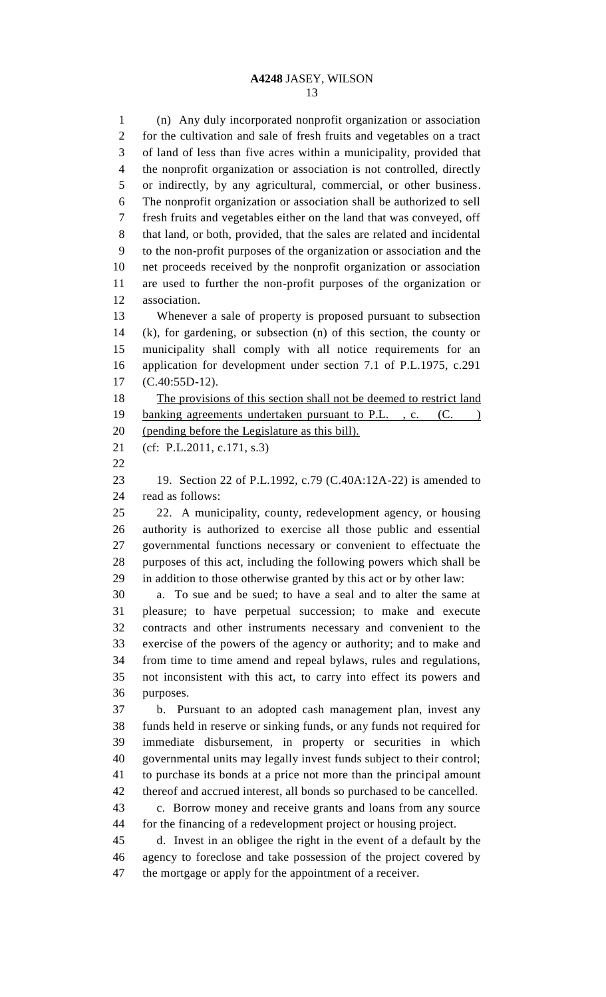(n) Any duly incorporated nonprofit organization or association for the cultivation and sale of fresh fruits and vegetables on a tract of land of less than five acres within a municipality, provided that the nonprofit organization or association is not controlled, directly or indirectly, by any agricultural, commercial, or other business. The nonprofit organization or association shall be authorized to sell fresh fruits and vegetables either on the land that was conveyed, off that land, or both, provided, that the sales are related and incidental to the non-profit purposes of the organization or association and the net proceeds received by the nonprofit organization or association are used to further the non-profit purposes of the organization or association.

 Whenever a sale of property is proposed pursuant to subsection (k), for gardening, or subsection (n) of this section, the county or municipality shall comply with all notice requirements for an application for development under section 7.1 of P.L.1975, c.291 (C.40:55D-12).

18 The provisions of this section shall not be deemed to restrict land 19 banking agreements undertaken pursuant to P.L., c. (C.) (pending before the Legislature as this bill).

(cf: P.L.2011, c.171, s.3)

 19. Section 22 of P.L.1992, c.79 (C.40A:12A-22) is amended to read as follows:

 22. A municipality, county, redevelopment agency, or housing authority is authorized to exercise all those public and essential governmental functions necessary or convenient to effectuate the purposes of this act, including the following powers which shall be in addition to those otherwise granted by this act or by other law:

 a. To sue and be sued; to have a seal and to alter the same at pleasure; to have perpetual succession; to make and execute contracts and other instruments necessary and convenient to the exercise of the powers of the agency or authority; and to make and from time to time amend and repeal bylaws, rules and regulations, not inconsistent with this act, to carry into effect its powers and purposes.

 b. Pursuant to an adopted cash management plan, invest any funds held in reserve or sinking funds, or any funds not required for immediate disbursement, in property or securities in which governmental units may legally invest funds subject to their control; to purchase its bonds at a price not more than the principal amount thereof and accrued interest, all bonds so purchased to be cancelled. c. Borrow money and receive grants and loans from any source

for the financing of a redevelopment project or housing project.

 d. Invest in an obligee the right in the event of a default by the agency to foreclose and take possession of the project covered by the mortgage or apply for the appointment of a receiver.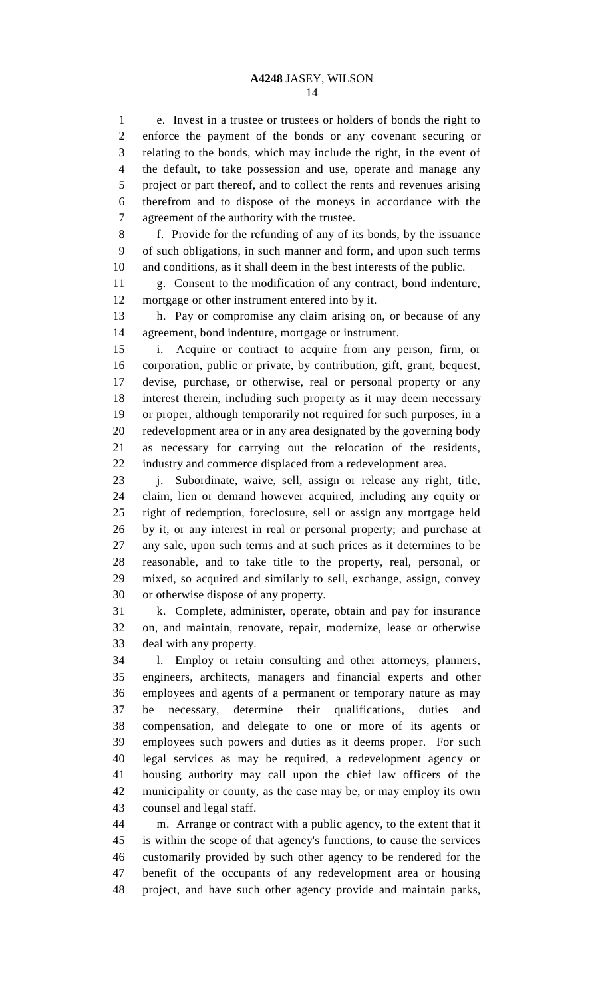e. Invest in a trustee or trustees or holders of bonds the right to enforce the payment of the bonds or any covenant securing or relating to the bonds, which may include the right, in the event of the default, to take possession and use, operate and manage any project or part thereof, and to collect the rents and revenues arising therefrom and to dispose of the moneys in accordance with the agreement of the authority with the trustee.

 f. Provide for the refunding of any of its bonds, by the issuance of such obligations, in such manner and form, and upon such terms and conditions, as it shall deem in the best interests of the public.

 g. Consent to the modification of any contract, bond indenture, mortgage or other instrument entered into by it.

 h. Pay or compromise any claim arising on, or because of any agreement, bond indenture, mortgage or instrument.

 i. Acquire or contract to acquire from any person, firm, or corporation, public or private, by contribution, gift, grant, bequest, devise, purchase, or otherwise, real or personal property or any interest therein, including such property as it may deem necessary or proper, although temporarily not required for such purposes, in a redevelopment area or in any area designated by the governing body as necessary for carrying out the relocation of the residents, industry and commerce displaced from a redevelopment area.

 j. Subordinate, waive, sell, assign or release any right, title, claim, lien or demand however acquired, including any equity or right of redemption, foreclosure, sell or assign any mortgage held by it, or any interest in real or personal property; and purchase at any sale, upon such terms and at such prices as it determines to be reasonable, and to take title to the property, real, personal, or mixed, so acquired and similarly to sell, exchange, assign, convey or otherwise dispose of any property.

 k. Complete, administer, operate, obtain and pay for insurance on, and maintain, renovate, repair, modernize, lease or otherwise deal with any property.

 l. Employ or retain consulting and other attorneys, planners, engineers, architects, managers and financial experts and other employees and agents of a permanent or temporary nature as may be necessary, determine their qualifications, duties and compensation, and delegate to one or more of its agents or employees such powers and duties as it deems proper. For such legal services as may be required, a redevelopment agency or housing authority may call upon the chief law officers of the municipality or county, as the case may be, or may employ its own counsel and legal staff.

 m. Arrange or contract with a public agency, to the extent that it is within the scope of that agency's functions, to cause the services customarily provided by such other agency to be rendered for the benefit of the occupants of any redevelopment area or housing project, and have such other agency provide and maintain parks,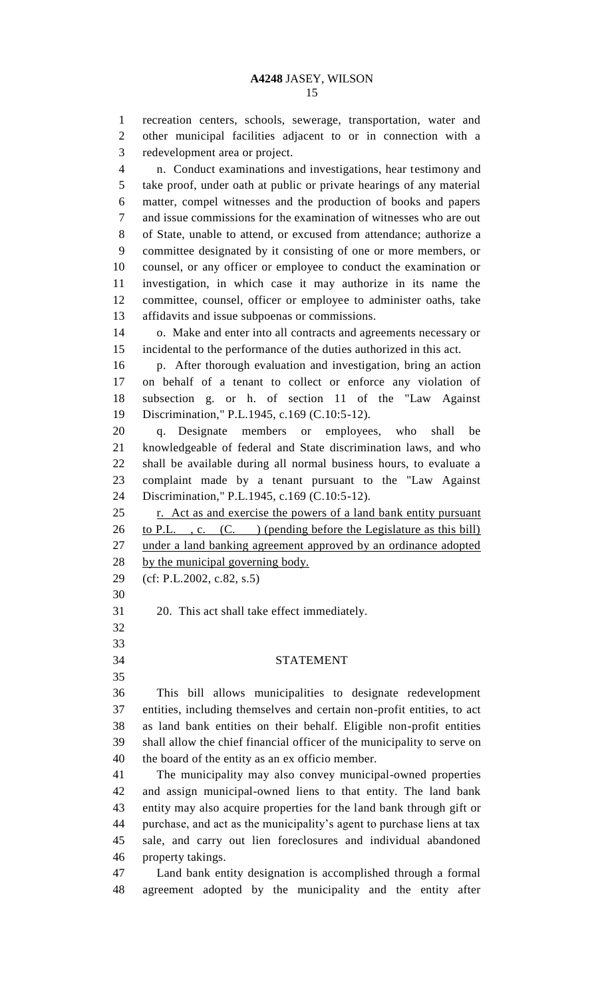recreation centers, schools, sewerage, transportation, water and other municipal facilities adjacent to or in connection with a

redevelopment area or project.

 n. Conduct examinations and investigations, hear testimony and take proof, under oath at public or private hearings of any material matter, compel witnesses and the production of books and papers and issue commissions for the examination of witnesses who are out of State, unable to attend, or excused from attendance; authorize a committee designated by it consisting of one or more members, or counsel, or any officer or employee to conduct the examination or investigation, in which case it may authorize in its name the committee, counsel, officer or employee to administer oaths, take affidavits and issue subpoenas or commissions. o. Make and enter into all contracts and agreements necessary or incidental to the performance of the duties authorized in this act. p. After thorough evaluation and investigation, bring an action on behalf of a tenant to collect or enforce any violation of subsection g. or h. of section 11 of the "Law Against Discrimination," P.L.1945, c.169 (C.10:5-12). q. Designate members or employees, who shall be knowledgeable of federal and State discrimination laws, and who shall be available during all normal business hours, to evaluate a complaint made by a tenant pursuant to the "Law Against Discrimination," P.L.1945, c.169 (C.10:5-12). 25 r. Act as and exercise the powers of a land bank entity pursuant 26 to P.L., c. (C.) (pending before the Legislature as this bill) under a land banking agreement approved by an ordinance adopted 28 by the municipal governing body. (cf: P.L.2002, c.82, s.5) 20. This act shall take effect immediately. STATEMENT This bill allows municipalities to designate redevelopment entities, including themselves and certain non-profit entities, to act as land bank entities on their behalf. Eligible non-profit entities shall allow the chief financial officer of the municipality to serve on the board of the entity as an ex officio member. The municipality may also convey municipal-owned properties and assign municipal-owned liens to that entity. The land bank entity may also acquire properties for the land bank through gift or purchase, and act as the municipality's agent to purchase liens at tax sale, and carry out lien foreclosures and individual abandoned property takings. Land bank entity designation is accomplished through a formal

agreement adopted by the municipality and the entity after